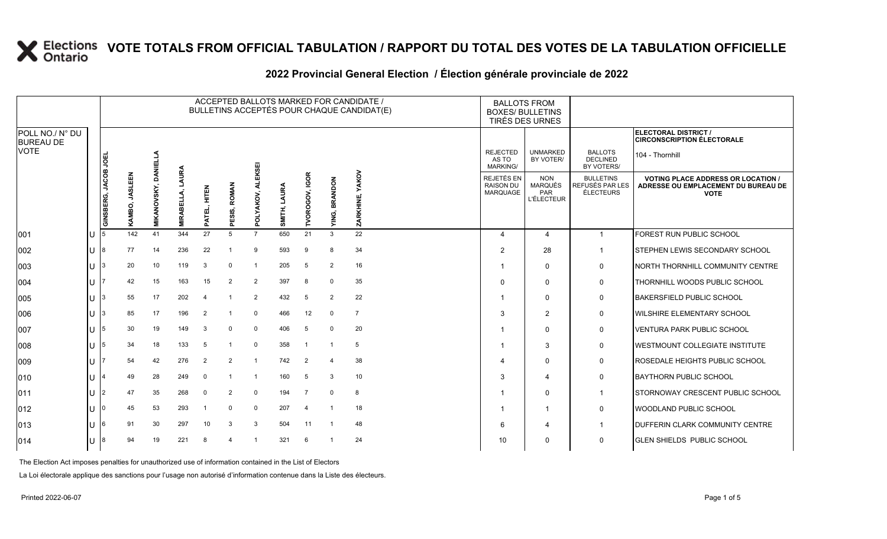|                                     |   |                      |                          |                             |                                |                   |                 |                |                 |                          |                         | ACCEPTED BALLOTS MARKED FOR CANDIDATE /<br>BULLETINS ACCEPTÉS POUR CHAQUE CANDIDAT(E) |                                                   | <b>BALLOTS FROM</b><br><b>BOXES/ BULLETINS</b><br>TIRÉS DES URNES |                                                         |                                                                                                 |
|-------------------------------------|---|----------------------|--------------------------|-----------------------------|--------------------------------|-------------------|-----------------|----------------|-----------------|--------------------------|-------------------------|---------------------------------------------------------------------------------------|---------------------------------------------------|-------------------------------------------------------------------|---------------------------------------------------------|-------------------------------------------------------------------------------------------------|
| POLL NO./ N° DU<br><b>BUREAU DE</b> |   |                      |                          |                             |                                |                   |                 |                |                 |                          |                         |                                                                                       |                                                   |                                                                   |                                                         | ELECTORAL DISTRICT /<br><b>CIRCONSCRIPTION ÉLECTORALE</b>                                       |
| <b>VOTE</b>                         |   |                      |                          |                             |                                |                   |                 | KSEI           |                 |                          |                         |                                                                                       | <b>REJECTED</b><br>AS TO<br><b>MARKING/</b>       | <b>UNMARKED</b><br>BY VOTER/                                      | <b>BALLOTS</b><br><b>DECLINED</b><br>BY VOTERS/         | 104 - Thornhill                                                                                 |
|                                     |   | GINSBERG, JACOB JOEI | <b>JASLEEN</b><br>KAMBO, | <b>MIKANOVSKY, DANIELLA</b> | <b>AURA</b><br><b>MIRABELL</b> | 로<br>사도<br>PATEL, | ROMAN<br>PESIS, | YAKOV,<br>pol  | LAURA<br>SMITH, | IGOR<br><b>TVOROGOV,</b> | <b>BRANDON</b><br>YING, | <b>YAKOV</b><br>ZARKHINE,                                                             | REJETÉS EN<br><b>RAISON DU</b><br><b>MARQUAGE</b> | <b>NON</b><br><b>MARQUÉS</b><br>PAR<br><b>L'ÉLECTEUR</b>          | <b>BULLETINS</b><br>REFUSÉS PAR LES<br><b>ÉLECTEURS</b> | <b>VOTING PLACE ADDRESS OR LOCATION /</b><br>ADRESSE OU EMPLACEMENT DU BUREAU DE<br><b>VOTE</b> |
| 001                                 |   |                      | 142                      | 41                          | 344                            | 27                | 5               | $\overline{7}$ | 650             | 21                       | 3                       | 22                                                                                    | $\overline{\mathbf{A}}$                           | $\overline{\mathbf{A}}$                                           | $\overline{\mathbf{1}}$                                 | FOREST RUN PUBLIC SCHOOL                                                                        |
| 002                                 |   |                      | 77                       | 14                          | 236                            | 22                |                 | 9              | 593             | 9                        | 8                       | 34                                                                                    | $\mathcal{P}$                                     | 28                                                                |                                                         | <b>I</b> STEPHEN LEWIS SECONDARY SCHOOL                                                         |
| 003                                 | U | 3                    | 20                       | 10                          | 119                            | 3                 | $\Omega$        | -1             | 205             | 5                        | 2                       | 16                                                                                    |                                                   | $\Omega$                                                          | $\mathbf 0$                                             | NORTH THORNHILL COMMUNITY CENTRE                                                                |
| 004                                 | Н |                      | 42                       | 15                          | 163                            | 15                | $\overline{2}$  | $\overline{2}$ | 397             | 8                        | 0                       | 35                                                                                    | $\Omega$                                          | $\mathbf 0$                                                       | $\mathbf 0$                                             | THORNHILL WOODS PUBLIC SCHOOL                                                                   |
| 005                                 |   |                      | 55                       | 17                          | 202                            | $\overline{4}$    |                 | $\overline{2}$ | 432             | 5                        | $\overline{2}$          | 22                                                                                    |                                                   | $\Omega$                                                          | 0                                                       | <b>BAKERSFIELD PUBLIC SCHOOL</b>                                                                |
| 006                                 |   |                      | 85                       | 17                          | 196                            | $\overline{2}$    |                 | $\mathbf 0$    | 466             | 12                       | $\mathbf 0$             | $\overline{7}$                                                                        | 3                                                 | $\overline{2}$                                                    | $\mathbf 0$                                             | <b>WILSHIRE ELEMENTARY SCHOOL</b>                                                               |
| 007                                 | U |                      | 30                       | 19                          | 149                            | 3                 | $\Omega$        | $\mathbf 0$    | 406             | 5                        | 0                       | 20                                                                                    |                                                   | $\Omega$                                                          | $\mathbf 0$                                             | <b>VENTURA PARK PUBLIC SCHOOL</b>                                                               |
| 008                                 |   | 5                    | 34                       | 18                          | 133                            | 5                 |                 | $\mathbf 0$    | 358             |                          |                         | 5                                                                                     |                                                   | 3                                                                 | $\mathbf 0$                                             | <b>WESTMOUNT COLLEGIATE INSTITUTE</b>                                                           |
| 009                                 |   |                      | 54                       | 42                          | 276                            | $\overline{2}$    | $\overline{2}$  | $\overline{1}$ | 742             | $\overline{2}$           | 4                       | 38                                                                                    | 4                                                 | $\Omega$                                                          | $\mathbf 0$                                             | ROSEDALE HEIGHTS PUBLIC SCHOOL                                                                  |
| 010                                 |   |                      | 49                       | 28                          | 249                            | $\Omega$          |                 | -1             | 160             | 5                        | 3                       | 10                                                                                    | 3                                                 | 4                                                                 | $\mathbf 0$                                             | <b>BAYTHORN PUBLIC SCHOOL</b>                                                                   |
| 011                                 | U |                      | 47                       | 35                          | 268                            | $\Omega$          | $\overline{2}$  | 0              | 194             | -7                       | 0                       | 8                                                                                     |                                                   | $\Omega$                                                          |                                                         | <b>STORNOWAY CRESCENT PUBLIC SCHOOL</b>                                                         |
| 012                                 |   |                      | 45                       | 53                          | 293                            | -1                | $\Omega$        | $\mathbf 0$    | 207             | 4                        |                         | 18                                                                                    |                                                   | -1                                                                | 0                                                       | WOODLAND PUBLIC SCHOOL                                                                          |
| 013                                 |   |                      | 91                       | 30                          | 297                            | 10                | 3               | 3              | 504             | 11                       | -1                      | 48                                                                                    | 6                                                 | 4                                                                 |                                                         | <b>IDUFFERIN CLARK COMMUNITY CENTRE</b>                                                         |
| 014                                 | U | 8                    | 94                       | 19                          | 221                            | 8                 | 4               |                | 321             | 6                        |                         | 24                                                                                    | 10                                                | $\Omega$                                                          | $\mathbf 0$                                             | <b>I</b> GLEN SHIELDS PUBLIC SCHOOL                                                             |

#### **2022 Provincial General Election / Élection générale provinciale de 2022**

The Election Act imposes penalties for unauthorized use of information contained in the List of Electors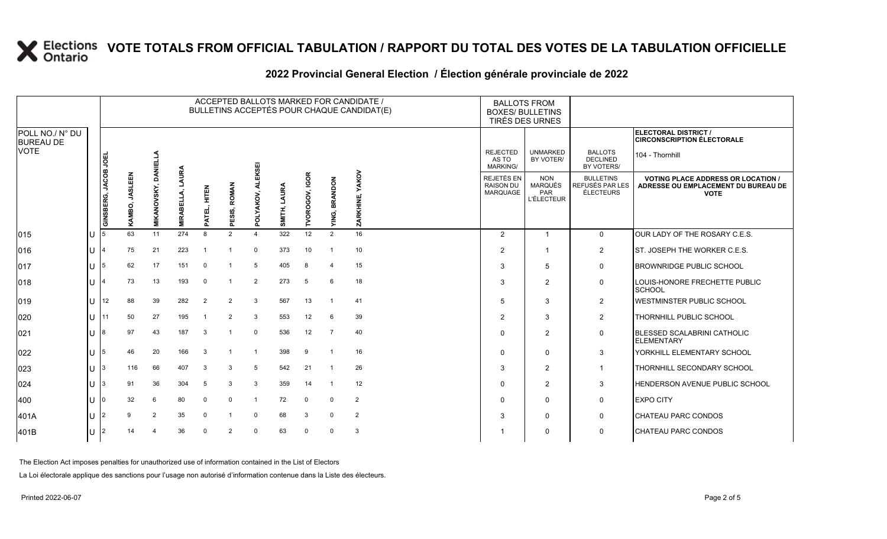### **2022 Provincial General Election / Élection générale provinciale de 2022**

|                                     |    |                      |                               |                             |                          |                      |                                                    |                       |                 |                |                  | ACCEPTED BALLOTS MARKED FOR CANDIDATE /<br>BULLETINS ACCEPTÉS POUR CHAQUE CANDIDAT(E) | <b>BOXES/ BULLETINS</b>                     | <b>BALLOTS FROM</b><br>TIRÉS DES URNES                   |                                                  |                                                                                                 |
|-------------------------------------|----|----------------------|-------------------------------|-----------------------------|--------------------------|----------------------|----------------------------------------------------|-----------------------|-----------------|----------------|------------------|---------------------------------------------------------------------------------------|---------------------------------------------|----------------------------------------------------------|--------------------------------------------------|-------------------------------------------------------------------------------------------------|
| POLL NO./ N° DU<br><b>BUREAU DE</b> |    |                      |                               |                             |                          |                      |                                                    |                       |                 |                |                  |                                                                                       |                                             |                                                          |                                                  | <b>ELECTORAL DISTRICT /</b><br><b>CIRCONSCRIPTION ÉLECTORALE</b>                                |
| <b>VOTE</b>                         |    |                      |                               |                             |                          |                      |                                                    | KSEI                  |                 |                |                  |                                                                                       | <b>REJECTED</b><br>AS TO<br><b>MARKING/</b> | <b>UNMARKED</b><br>BY VOTER/                             | <b>BALLOTS</b><br><b>DECLINED</b><br>BY VOTERS/  | 104 - Thornhill                                                                                 |
|                                     |    | GINSBERG, JACOB JOEL | <b>JASLEEN</b><br>ខ្ល<br>KAMI | <b>MIKANOVSKY, DANIELLA</b> | LAURA<br><b>MIRABELL</b> | EL, HITEN<br>Ę<br>D. | <b>ROMAN</b><br>ທົ<br>Ë<br>$\overline{\mathbf{a}}$ | AKOV,<br>ō<br>ā       | LAURA<br>SMITH, | TVOROGOV, IGOR | BRANDON<br>YING, | YAKOV<br>ZARKHINE,                                                                    | REJETÉS EN<br><b>RAISON DU</b><br>MARQUAGE  | <b>NON</b><br><b>MARQUÉS</b><br>PAR<br><b>L'ÉLECTEUR</b> | <b>BULLETINS</b><br>REFUSÉS PAR LES<br>ÉLECTEURS | <b>VOTING PLACE ADDRESS OR LOCATION /</b><br>ADRESSE OU EMPLACEMENT DU BUREAU DE<br><b>VOTE</b> |
| $ 015\rangle$                       | lu | 5                    | 63                            | 11                          | 274                      | 8                    | 2                                                  | $\boldsymbol{\Delta}$ | 322             | 12             | $\overline{2}$   | 16                                                                                    | 2                                           | $\overline{1}$                                           | $\mathbf 0$                                      | OUR LADY OF THE ROSARY C.E.S.                                                                   |
| 016                                 | lu |                      | 75                            | 21                          | 223                      | -1                   |                                                    | $\Omega$              | 373             | 10             |                  | 10                                                                                    | $\overline{2}$                              |                                                          | $\overline{2}$                                   | ST. JOSEPH THE WORKER C.E.S.                                                                    |
| 017                                 | lu | 5                    | 62                            | 17                          | 151                      | $\Omega$             | -1                                                 | 5                     | 405             | 8              | 4                | 15                                                                                    | 3                                           | 5                                                        | 0                                                | <b>BROWNRIDGE PUBLIC SCHOOL</b>                                                                 |
| 018                                 | lυ |                      | 73                            | 13                          | 193                      | $\mathbf 0$          | $\overline{1}$                                     | $\overline{2}$        | 273             | 5              | 6                | 18                                                                                    | 3                                           | $\overline{2}$                                           | $\mathsf{O}$                                     | LOUIS-HONORE FRECHETTE PUBLIC<br><b>SCHOOL</b>                                                  |
| 019                                 | lu | 12                   | 88                            | 39                          | 282                      | $\overline{2}$       | $\overline{2}$                                     | 3                     | 567             | 13             |                  | 41                                                                                    | 5                                           | 3                                                        | 2                                                | <b>WESTMINSTER PUBLIC SCHOOL</b>                                                                |
| 020                                 | lu |                      | 50                            | 27                          | 195                      |                      | $\overline{2}$                                     | 3                     | 553             | 12             | 6                | 39                                                                                    | $\overline{2}$                              | 3                                                        | $\overline{2}$                                   | THORNHILL PUBLIC SCHOOL                                                                         |
| 021                                 | ш  |                      | 97                            | 43                          | 187                      | 3                    |                                                    | $\mathbf 0$           | 536             | 12             | -7               | 40                                                                                    | $\Omega$                                    | $\overline{2}$                                           | $\mathsf{O}$                                     | <b>BLESSED SCALABRINI CATHOLIC</b><br><b>ELEMENTARY</b>                                         |
| 022                                 | lu | 5                    | 46                            | 20                          | 166                      | 3                    |                                                    | $\overline{1}$        | 398             | 9              |                  | 16                                                                                    | $\Omega$                                    | $\mathbf 0$                                              | 3                                                | YORKHILL ELEMENTARY SCHOOL                                                                      |
| 023                                 | lu |                      | 116                           | 66                          | 407                      | 3                    | 3                                                  | 5                     | 542             | 21             |                  | 26                                                                                    | 3                                           | 2                                                        | $\mathbf{1}$                                     | <b>THORNHILL SECONDARY SCHOOL</b>                                                               |
| 024                                 | lυ |                      | 91                            | 36                          | 304                      | 5                    | 3                                                  | 3                     | 359             | 14             |                  | 12                                                                                    | $\Omega$                                    | $\overline{2}$                                           | 3                                                | <b>HENDERSON AVENUE PUBLIC SCHOOL</b>                                                           |
| 400                                 | lu |                      | 32                            | 6                           | 80                       | $\mathbf 0$          | $\Omega$                                           |                       | 72              | $\mathbf 0$    | $\Omega$         | $\overline{2}$                                                                        |                                             | $\Omega$                                                 | 0                                                | <b>EXPO CITY</b>                                                                                |
| 401A                                | lu |                      | 9                             | 2                           | 35                       | $\Omega$             |                                                    | $\Omega$              | 68              | 3              | $\Omega$         | $\overline{2}$                                                                        | 3                                           | 0                                                        | 0                                                | <b>CHATEAU PARC CONDOS</b>                                                                      |
| 401B                                | lu |                      | 14                            |                             | 36                       | $\Omega$             | $\overline{2}$                                     | $\Omega$              | 63              | $\Omega$       | $\Omega$         | 3                                                                                     |                                             | $\Omega$                                                 | $\mathbf 0$                                      | <b>CHATEAU PARC CONDOS</b>                                                                      |

The Election Act imposes penalties for unauthorized use of information contained in the List of Electors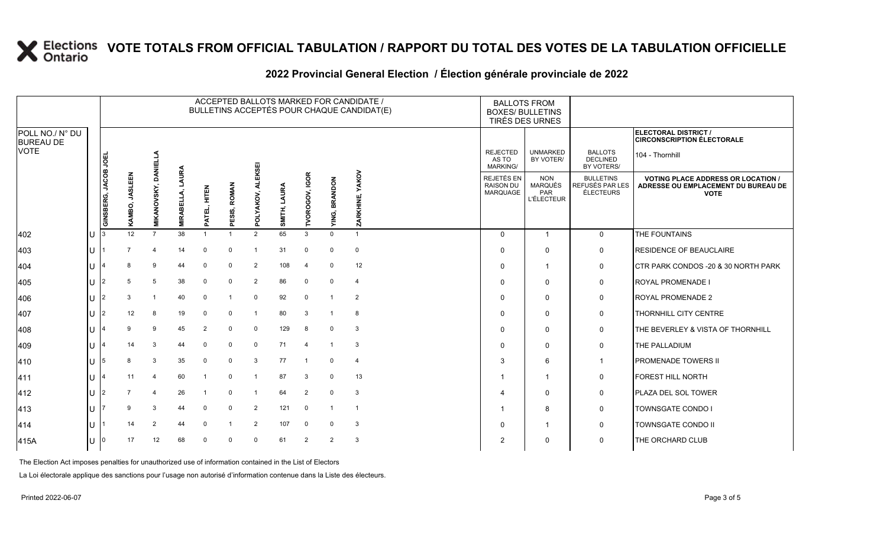### **2022 Provincial General Election / Élection générale provinciale de 2022**

|                                     |     |                      |                        |                   |                          |                     |                  |                         |                 |                         |                         | ACCEPTED BALLOTS MARKED FOR CANDIDATE /<br>BULLETINS ACCEPTÉS POUR CHAQUE CANDIDAT(E) | <b>BOXES/ BULLETINS</b>                     | <b>BALLOTS FROM</b><br>TIRÉS DES URNES                          |                                                         |                                                                                                 |
|-------------------------------------|-----|----------------------|------------------------|-------------------|--------------------------|---------------------|------------------|-------------------------|-----------------|-------------------------|-------------------------|---------------------------------------------------------------------------------------|---------------------------------------------|-----------------------------------------------------------------|---------------------------------------------------------|-------------------------------------------------------------------------------------------------|
| POLL NO./ N° DU<br><b>BUREAU DE</b> |     |                      |                        |                   |                          |                     |                  |                         |                 |                         |                         |                                                                                       |                                             |                                                                 |                                                         | <b>ELECTORAL DISTRICT /</b><br><b>CIRCONSCRIPTION ÉLECTORALE</b>                                |
| <b>VOTE</b>                         |     |                      |                        | ¶<br>∃            |                          |                     |                  | KSEI                    |                 |                         |                         |                                                                                       | <b>REJECTED</b><br>AS TO<br><b>MARKING/</b> | <b>UNMARKED</b><br>BY VOTER/                                    | <b>BALLOTS</b><br><b>DECLINED</b><br>BY VOTERS/         | 104 - Thornhill                                                                                 |
|                                     |     | GINSBERG, JACOB JOEL | LEEN<br>gyr<br>S.<br>Š | MIKANOVSKY, DANIE | LAURA<br><b>MIRABELL</b> | HITEN<br>H<br>PATEL | ESIS, ROMAN<br>ᇍ | YAKOV<br>ಕ<br>$\Omega$  | LAURA<br>SMITH, | TVOROGOV, IGOR          | <b>BRANDON</b><br>YING, | ZARKHINE, YAKOV                                                                       | REJETÉS EN<br><b>RAISON DU</b><br>MARQUAGE  | <b>NON</b><br><b>MARQUÉS</b><br><b>PAR</b><br><b>L'ÉLECTEUR</b> | <b>BULLETINS</b><br>REFUSÉS PAR LES<br><b>ÉLECTEURS</b> | <b>VOTING PLACE ADDRESS OR LOCATION /</b><br>ADRESSE OU EMPLACEMENT DU BUREAU DE<br><b>VOTE</b> |
| 402                                 | IU  |                      | 12                     | $\overline{7}$    | 38                       | -1                  |                  | 2                       | 65              | 3                       | $\Omega$                |                                                                                       | $\Omega$                                    | $\overline{1}$                                                  | $\mathbf 0$                                             | THE FOUNTAINS                                                                                   |
| 403                                 | lU  |                      | $\overline{7}$         | 4                 | 14                       | $\Omega$            | $\mathbf 0$      | $\overline{\mathbf{1}}$ | 31              | 0                       | $\Omega$                | $\mathbf 0$                                                                           | $\Omega$                                    | $\mathbf 0$                                                     | 0                                                       | <b>RESIDENCE OF BEAUCLAIRE</b>                                                                  |
| 404                                 | lU  |                      |                        | 9                 | 44                       | $\Omega$            | $\Omega$         | $\overline{2}$          | 108             | 4                       | $\Omega$                | 12                                                                                    | 0                                           | 1                                                               | 0                                                       | CTR PARK CONDOS - 20 & 30 NORTH PARK                                                            |
| 405                                 | lU  | 12                   | 5                      | 5                 | 38                       | $\Omega$            | $\Omega$         | $\overline{2}$          | 86              | $\mathbf 0$             | $\Omega$                | $\overline{\mathbf{4}}$                                                               | $\Omega$                                    | $\mathbf 0$                                                     | 0                                                       | <b>ROYAL PROMENADE I</b>                                                                        |
| 406                                 | lU  | 12                   | 3                      |                   | 40                       | 0                   |                  | $\mathbf 0$             | 92              | 0                       |                         | $\overline{2}$                                                                        | $\Omega$                                    | $\mathbf 0$                                                     | 0                                                       | <b>ROYAL PROMENADE 2</b>                                                                        |
| 407                                 | IU. | 12.                  | 12                     | 8                 | 19                       | 0                   | $\Omega$         |                         | 80              | 3                       |                         | 8                                                                                     | $\Omega$                                    | $\mathbf 0$                                                     | 0                                                       | THORNHILL CITY CENTRE                                                                           |
| 408                                 | IU  |                      | 9                      | 9                 | 45                       | $\overline{2}$      | $\Omega$         | $\mathbf 0$             | 129             | 8                       | $\Omega$                | 3                                                                                     | $\Omega$                                    | $\mathbf{0}$                                                    | $\mathbf 0$                                             | <b>THE BEVERLEY &amp; VISTA OF THORNHILL</b>                                                    |
| 409                                 | lU  |                      | 14                     | 3                 | 44                       | $\Omega$            | $\Omega$         | 0                       | 71              | $\overline{\mathbf{4}}$ |                         | 3                                                                                     | $\Omega$                                    | 0                                                               | 0                                                       | <b>THE PALLADIUM</b>                                                                            |
| 410                                 | IU. | 5                    | 8                      | 3                 | 35                       | $\Omega$            | $\Omega$         | 3                       | 77              |                         | 0                       | $\overline{\mathbf{4}}$                                                               | 3                                           | 6                                                               | $\overline{1}$                                          | <b>PROMENADE TOWERS II</b>                                                                      |
| 411                                 | lU  |                      | 11                     | $\overline{4}$    | 60                       | -1                  | $\Omega$         |                         | 87              | 3                       | $\Omega$                | 13                                                                                    |                                             | 1                                                               | 0                                                       | <b>FOREST HILL NORTH</b>                                                                        |
| 412                                 | lU  | l2                   |                        | 4                 | 26                       |                     | $\Omega$         | -1                      | 64              | $\overline{2}$          | $\Omega$                | 3                                                                                     |                                             | 0                                                               | $\mathbf 0$                                             | PLAZA DEL SOL TOWER                                                                             |
| 413                                 | IU. |                      | 9                      | 3                 | 44                       | $\Omega$            | $\Omega$         | $\overline{2}$          | 121             | $\mathbf 0$             |                         |                                                                                       |                                             | 8                                                               | 0                                                       | <b>TOWNSGATE CONDO I</b>                                                                        |
| 414                                 | lU  |                      | 14                     | $\overline{2}$    | 44                       | $\Omega$            |                  | $\overline{2}$          | 107             | $\mathbf 0$             | $\Omega$                | 3                                                                                     | $\Omega$                                    |                                                                 | $\mathbf 0$                                             | <b>TOWNSGATE CONDO II</b>                                                                       |
| 415A                                | IU  | 10                   | 17                     | 12                | 68                       | $\Omega$            | $\Omega$         | $\mathbf 0$             | 61              | 2                       | $\overline{2}$          | 3                                                                                     | $\overline{2}$                              | 0                                                               | 0                                                       | THE ORCHARD CLUB                                                                                |

The Election Act imposes penalties for unauthorized use of information contained in the List of Electors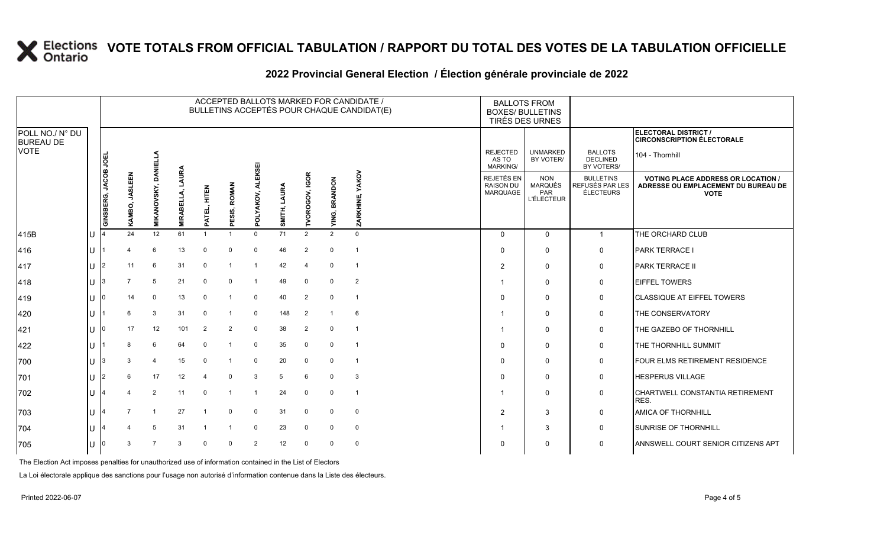### **2022 Provincial General Election / Élection générale provinciale de 2022**

|                                     |        | ACCEPTED BALLOTS MARKED FOR CANDIDATE /<br>BULLETINS ACCEPTÉS POUR CHAQUE CANDIDAT(E) |                          |                             |                         |                           |                            |                |                 |                       |                         |                    |  | <b>BALLOTS FROM</b><br><b>BOXES/ BULLETINS</b><br>TIRÉS DES URNES |                                                          |                                                  |                                                                                                 |
|-------------------------------------|--------|---------------------------------------------------------------------------------------|--------------------------|-----------------------------|-------------------------|---------------------------|----------------------------|----------------|-----------------|-----------------------|-------------------------|--------------------|--|-------------------------------------------------------------------|----------------------------------------------------------|--------------------------------------------------|-------------------------------------------------------------------------------------------------|
| POLL NO./ N° DU<br><b>BUREAU DE</b> |        |                                                                                       |                          |                             |                         |                           |                            |                |                 |                       |                         |                    |  |                                                                   |                                                          |                                                  | <b>ELECTORAL DISTRICT /</b><br><b>CIRCONSCRIPTION ÉLECTORALE</b>                                |
| <b>VOTE</b>                         |        |                                                                                       |                          |                             |                         |                           |                            | EKSEI          |                 |                       |                         |                    |  | <b>REJECTED</b><br>AS TO<br><b>MARKING/</b>                       | <b>UNMARKED</b><br>BY VOTER/                             | <b>BALLOTS</b><br><b>DECLINED</b><br>BY VOTERS/  | 104 - Thornhill                                                                                 |
|                                     |        | GINSBERG, JACOB JOEI                                                                  | <b>JASLEEN</b><br>KAMBO, | <b>MIKANOVSKY, DANIELLA</b> | AURA<br><b>MIRABELL</b> | HLLEV<br>HL<br>ATEL,<br>௳ | <b>ROMAN</b><br>ESIS,<br>ᇍ | POLYAKOV,      | LAURA<br>SMITH, | <b>TVOROGOV, IGOR</b> | <b>BRANDON</b><br>YING, | YAKOV<br>ZARKHINE, |  | REJETÉS EN<br><b>RAISON DU</b><br>MARQUAGE                        | <b>NON</b><br><b>MARQUÉS</b><br>PAR<br><b>L'ÉLECTEUR</b> | <b>BULLETINS</b><br>REFUSÉS PAR LES<br>ÉLECTEURS | <b>VOTING PLACE ADDRESS OR LOCATION /</b><br>ADRESSE OU EMPLACEMENT DU BUREAU DE<br><b>VOTE</b> |
| 415B                                | U      |                                                                                       | 24                       | 12                          | 61                      |                           |                            | $\Omega$       | 71              | $\overline{2}$        | $\overline{2}$          | $\Omega$           |  | $\mathbf{0}$                                                      | $\Omega$                                                 | $\mathbf{1}$                                     | THE ORCHARD CLUB                                                                                |
| 416                                 | U      |                                                                                       |                          | 6                           | 13                      | $\mathbf 0$               | $\Omega$                   | $\mathbf 0$    | 46              | $\overline{2}$        | $\mathbf 0$             |                    |  | $\Omega$                                                          | $\mathbf 0$                                              | $\mathbf 0$                                      | <b>PARK TERRACE I</b>                                                                           |
| 417                                 | U      | $\mathfrak{p}$                                                                        | 11                       | 6                           | 31                      | $\mathbf 0$               |                            | -1             | 42              | 4                     | $\mathbf 0$             | - 1                |  | $\overline{2}$                                                    | $\mathbf 0$                                              | 0                                                | <b>PARK TERRACE II</b>                                                                          |
| 418                                 | $\cup$ | 3                                                                                     |                          | 5                           | 21                      | $\mathbf 0$               | $\Omega$                   | -1             | 49              | 0                     | $\mathbf 0$             | $\overline{2}$     |  |                                                                   | $\Omega$                                                 | 0                                                | <b>EIFFEL TOWERS</b>                                                                            |
| 419                                 | U      |                                                                                       | 14                       | $\Omega$                    | 13                      | $\Omega$                  |                            | $\mathbf 0$    | 40              | $\overline{2}$        | $\mathbf 0$             | - 1                |  | $\Omega$                                                          | $\Omega$                                                 | 0                                                | <b>CLASSIQUE AT EIFFEL TOWERS</b>                                                               |
| 420                                 | U      |                                                                                       |                          | 3                           | 31                      | $\Omega$                  |                            | $\mathbf 0$    | 148             | $\overline{2}$        |                         | 6                  |  |                                                                   | $\Omega$                                                 | 0                                                | THE CONSERVATORY                                                                                |
| 421                                 | U      |                                                                                       | 17                       | 12                          | 101                     | $\overline{2}$            | 2                          | $\mathbf 0$    | 38              | $\overline{2}$        | $\mathbf 0$             |                    |  |                                                                   | $\Omega$                                                 | 0                                                | THE GAZEBO OF THORNHILL                                                                         |
| 422                                 | U      |                                                                                       | 8                        | 6                           | 64                      | $\mathbf 0$               |                            | 0              | 35              | $\mathbf 0$           | $\mathbf 0$             | - 1                |  | $\Omega$                                                          | $\Omega$                                                 | 0                                                | THE THORNHILL SUMMIT                                                                            |
| 700                                 |        |                                                                                       |                          | $\overline{4}$              | 15                      | $\mathbf 0$               |                            | $\mathbf 0$    | 20              | $\mathbf 0$           | $\mathbf 0$             | -1                 |  | $\Omega$                                                          | $\Omega$                                                 | 0                                                | FOUR ELMS RETIREMENT RESIDENCE                                                                  |
| 701                                 | U      | 2                                                                                     | 6                        | 17                          | 12                      | 4                         | $\Omega$                   | 3              | 5               | 6                     | 0                       | 3                  |  | $\Omega$                                                          | $\Omega$                                                 | 0                                                | <b>HESPERUS VILLAGE</b>                                                                         |
| 702                                 | U      |                                                                                       |                          | $\overline{2}$              | 11                      | $\Omega$                  | -1                         | $\mathbf 1$    | 24              | 0                     | $\mathbf 0$             | - 1                |  |                                                                   | $\mathbf 0$                                              | 0                                                | CHARTWELL CONSTANTIA RETIREMENT<br>RES.                                                         |
| 703                                 | U      |                                                                                       |                          | $\overline{1}$              | 27                      | $\overline{1}$            | $\Omega$                   | $\mathbf 0$    | 31              | $\mathbf 0$           | $\mathbf 0$             | $\mathbf 0$        |  | 2                                                                 | 3                                                        | $\mathbf 0$                                      | <b>AMICA OF THORNHILL</b>                                                                       |
| 704                                 |        |                                                                                       |                          | 5                           | 31                      |                           |                            | $\Omega$       | 23              | $\mathbf 0$           | $\mathbf 0$             | $\mathbf 0$        |  |                                                                   | 3                                                        | 0                                                | <b>SUNRISE OF THORNHILL</b>                                                                     |
| 705                                 | U      | 0                                                                                     |                          | 7                           | 3                       | $\Omega$                  | $\Omega$                   | $\overline{2}$ | 12              | $\mathbf 0$           | $\mathbf 0$             | $\mathbf 0$        |  | $\Omega$                                                          | $\Omega$                                                 | $\mathbf 0$                                      | <b>ANNSWELL COURT SENIOR CITIZENS APT</b>                                                       |

The Election Act imposes penalties for unauthorized use of information contained in the List of Electors